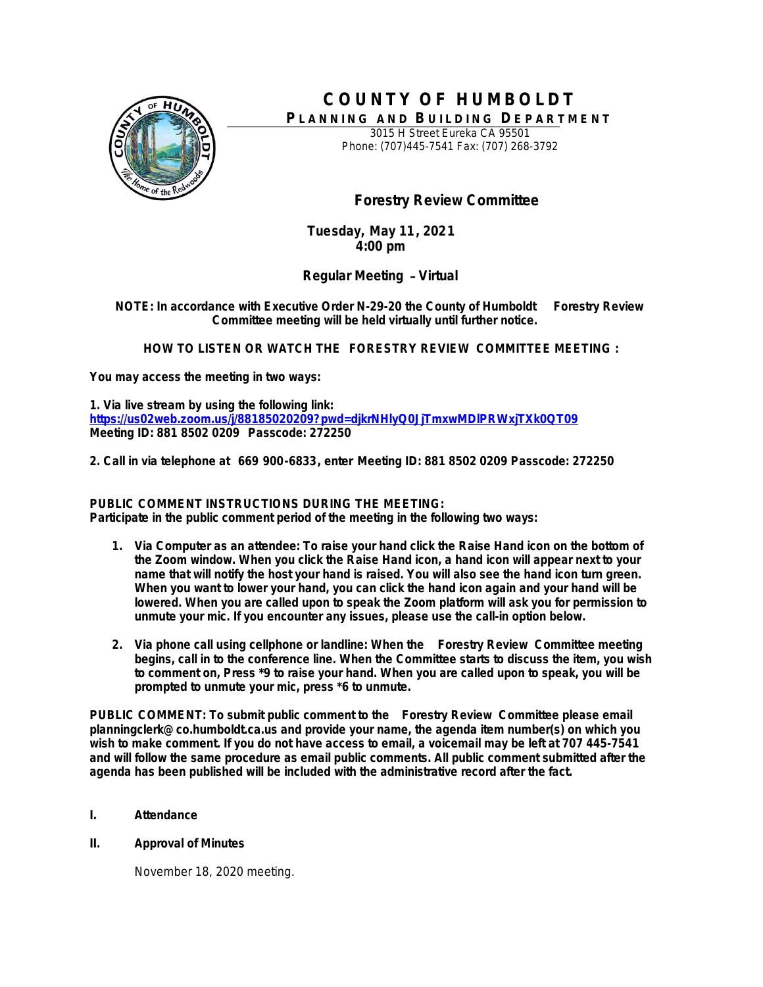

## **C O U N TY O F H U M B O L D T** PLANNING AND BUILDING DEPARTMENT

3015 H Street Eureka CA 95501 Phone: (707)445-7541 Fax: (707) 268-3792

# **Forestry Review Committee**

**Tuesday, May 11, 2021 4:00 pm**

**Regular Meeting** – **Virtual**

**NOTE: In accordance with Executive Order N-29-20 the County of Humboldt Forestry Review Committee meeting will be held virtually until further notice.**

**HOW TO LISTEN OR WATCH THE FORESTRY REVIEW COMMITTEE MEETING :**

**You may access the meeting in two ways:**

**1. Via live stream by using the following link: <https://us02web.zoom.us/j/88185020209?pwd=djkrNHlyQ0JjTmxwMDlPRWxjTXk0QT09> Meeting ID: 881 8502 0209 Passcode: 272250**

**2. Call in via telephone at 669 900-6833, enter Meeting ID: 881 8502 0209 Passcode: 272250**

## **PUBLIC COMMENT INSTRUCTIONS DURING THE MEETING:**

**Participate in the public comment period of the meeting in the following two ways:**

- **1. Via Computer as an attendee: To raise your hand click the Raise Hand icon on the bottom of the Zoom window. When you click the Raise Hand icon, a hand icon will appear next to your name that will notify the host your hand is raised. You will also see the hand icon turn green. When you want to lower your hand, you can click the hand icon again and your hand will be lowered. When you are called upon to speak the Zoom platform will ask you for permission to unmute your mic. If you encounter any issues, please use the call-in option below.**
- **2. Via phone call using cellphone or landline: When the Forestry Review Committee meeting begins, call in to the conference line. When the Committee starts to discuss the item, you wish to comment on, Press \*9 to raise your hand. When you are called upon to speak, you will be prompted to unmute your mic, press \*6 to unmute.**

**PUBLIC COMMENT: To submit public comment to the Forestry Review Committee please email planningclerk@co.humboldt.ca.us and provide your name, the agenda item number(s) on which you wish to make comment. If you do not have access to email, a voicemail may be left at 707 445-7541 and will follow the same procedure as email public comments. All public comment submitted after the agenda has been published will be included with the administrative record after the fact.** 

- **I. Attendance**
- **II. Approval of Minutes**

November 18, 2020 meeting.